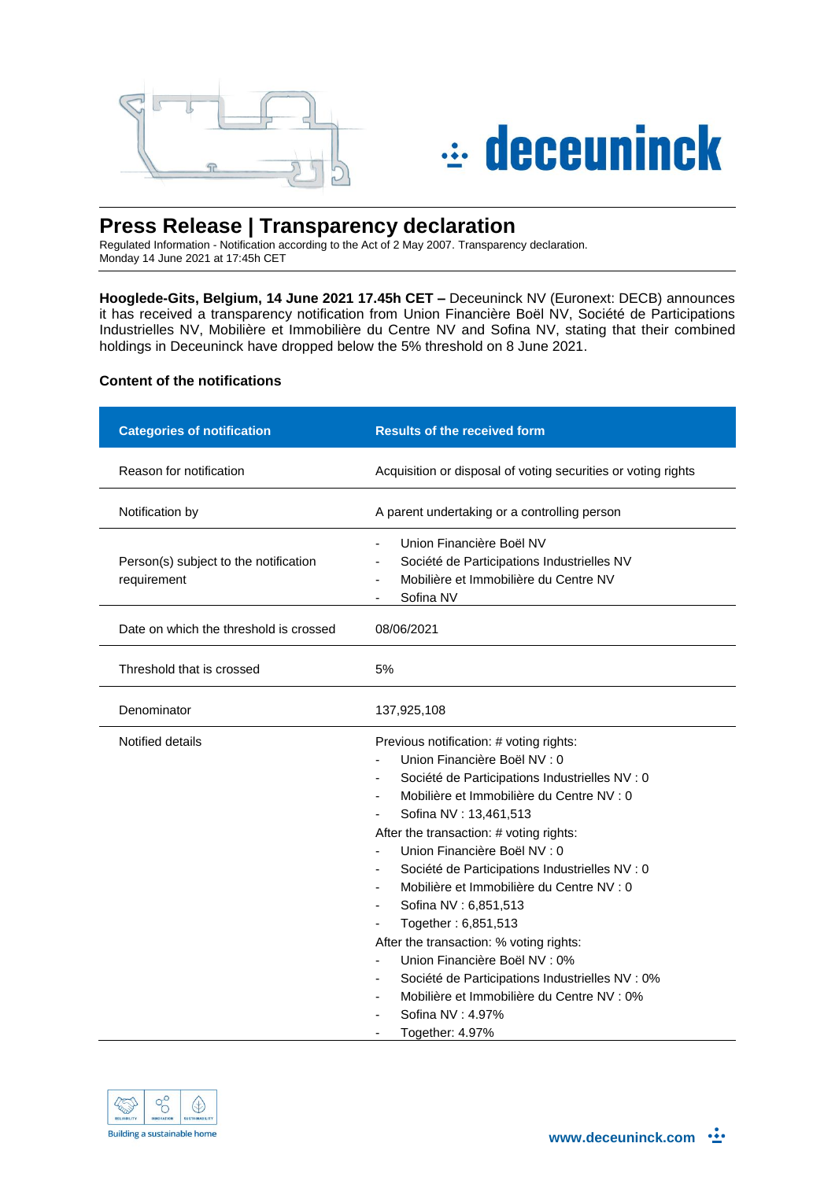



# **Press Release | Transparency declaration**

Regulated Information - Notification according to the Act of 2 May 2007. Transparency declaration. Monday 14 June 2021 at 17:45h CET

**Hooglede-Gits, Belgium, 14 June 2021 17.45h CET –** Deceuninck NV (Euronext: DECB) announces it has received a transparency notification from Union Financière Boël NV, Société de Participations Industrielles NV, Mobilière et Immobilière du Centre NV and Sofina NV, stating that their combined holdings in Deceuninck have dropped below the 5% threshold on 8 June 2021.

# **Content of the notifications**

| <b>Categories of notification</b>                    | <b>Results of the received form</b>                                                                                                                                                                                                                                                                                                                                                                                                                                                                                                                                                                                                                         |
|------------------------------------------------------|-------------------------------------------------------------------------------------------------------------------------------------------------------------------------------------------------------------------------------------------------------------------------------------------------------------------------------------------------------------------------------------------------------------------------------------------------------------------------------------------------------------------------------------------------------------------------------------------------------------------------------------------------------------|
| Reason for notification                              | Acquisition or disposal of voting securities or voting rights                                                                                                                                                                                                                                                                                                                                                                                                                                                                                                                                                                                               |
| Notification by                                      | A parent undertaking or a controlling person                                                                                                                                                                                                                                                                                                                                                                                                                                                                                                                                                                                                                |
| Person(s) subject to the notification<br>requirement | Union Financière Boël NV<br>Société de Participations Industrielles NV<br>Mobilière et Immobilière du Centre NV<br>Sofina NV                                                                                                                                                                                                                                                                                                                                                                                                                                                                                                                                |
| Date on which the threshold is crossed               | 08/06/2021                                                                                                                                                                                                                                                                                                                                                                                                                                                                                                                                                                                                                                                  |
| Threshold that is crossed                            | 5%                                                                                                                                                                                                                                                                                                                                                                                                                                                                                                                                                                                                                                                          |
| Denominator                                          | 137,925,108                                                                                                                                                                                                                                                                                                                                                                                                                                                                                                                                                                                                                                                 |
| Notified details                                     | Previous notification: # voting rights:<br>Union Financière Boël NV : 0<br>Société de Participations Industrielles NV : 0<br>Mobilière et Immobilière du Centre NV : 0<br>Sofina NV: 13,461,513<br>After the transaction: # voting rights:<br>Union Financière Boël NV : 0<br>Société de Participations Industrielles NV : 0<br>-<br>Mobilière et Immobilière du Centre NV : 0<br>Sofina NV: 6,851,513<br>Together: 6,851,513<br>After the transaction: % voting rights:<br>Union Financière Boël NV : 0%<br>Société de Participations Industrielles NV : 0%<br>-<br>Mobilière et Immobilière du Centre NV : 0%<br>-<br>Sofina NV: 4.97%<br>Together: 4.97% |